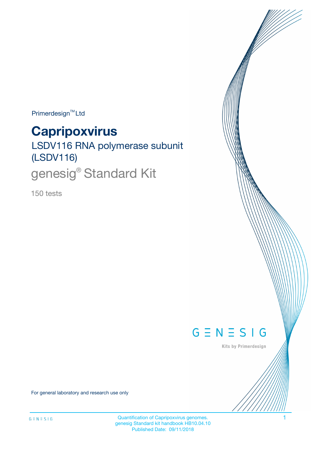Primerdesign<sup>™</sup>Ltd

# **Capripoxvirus**

LSDV116 RNA polymerase subunit (LSDV116)

genesig<sup>®</sup> Standard Kit

150 tests



Kits by Primerdesign

For general laboratory and research use only

Quantification of Capripoxvirus genomes. 1 genesig Standard kit handbook HB10.04.10 Published Date: 09/11/2018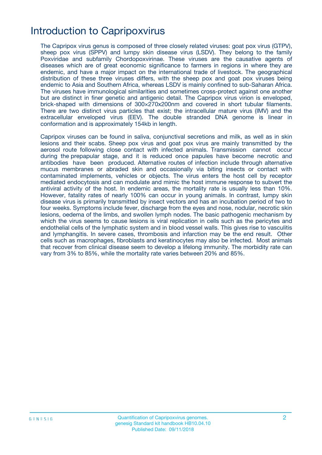# Introduction to Capripoxvirus

The Capripox virus genus is composed of three closely related viruses: goat pox virus (GTPV), sheep pox virus (SPPV) and lumpy skin disease virus (LSDV). They belong to the family Poxviridae and subfamily Chordopoxvirinae. These viruses are the causative agents of diseases which are of great economic significance to farmers in regions in where they are endemic, and have a major impact on the international trade of livestock. The geographical distribution of these three viruses differs, with the sheep pox and goat pox viruses being endemic to Asia and Southern Africa, whereas LSDV is mainly confined to sub-Saharan Africa. The viruses have immunological similarities and sometimes cross-protect against one another but are distinct in finer genetic and antigenic detail. The Capripox virus virion is enveloped, brick-shaped with dimensions of 300×270x200nm and covered in short tubular filaments. There are two distinct virus particles that exist; the intracellular mature virus (IMV) and the extracellular enveloped virus (EEV). The double stranded DNA genome is linear in conformation and is approximately 154kb in length.

Capripox viruses can be found in saliva, conjunctival secretions and milk, as well as in skin lesions and their scabs. Sheep pox virus and goat pox virus are mainly transmitted by the aerosol route following close contact with infected animals. Transmission cannot occur during the prepapular stage, and it is reduced once papules have become necrotic and antibodies have been produced. Alternative routes of infection include through alternative mucus membranes or abraded skin and occasionally via biting insects or contact with contaminated implements, vehicles or objects. The virus enters the host cell by receptor mediated endocytosis and can modulate and mimic the host immune response to subvert the antiviral activity of the host. In endemic areas, the mortality rate is usually less than 10%. However, fatality rates of nearly 100% can occur in young animals. In contrast, lumpy skin disease virus is primarily transmitted by insect vectors and has an incubation period of two to four weeks. Symptoms include fever, discharge from the eyes and nose, nodular, necrotic skin lesions, oedema of the limbs, and swollen lymph nodes. The basic pathogenic mechanism by which the virus seems to cause lesions is viral replication in cells such as the pericytes and endothelial cells of the lymphatic system and in blood vessel walls. This gives rise to vasculitis and lymphangitis. In severe cases, thrombosis and infarction may be the end result. Other cells such as macrophages, fibroblasts and keratinocytes may also be infected. Most animals that recover from clinical disease seem to develop a lifelong immunity. The morbidity rate can vary from 3% to 85%, while the mortality rate varies between 20% and 85%.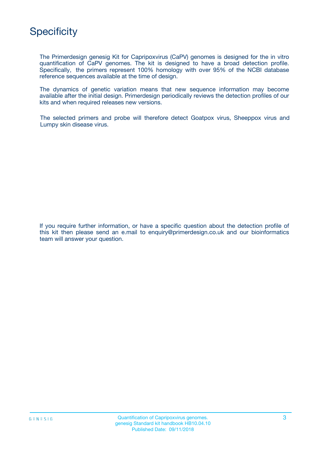

The Primerdesign genesig Kit for Capripoxvirus (CaPV) genomes is designed for the in vitro quantification of CaPV genomes. The kit is designed to have a broad detection profile. Specifically, the primers represent 100% homology with over 95% of the NCBI database reference sequences available at the time of design.

The dynamics of genetic variation means that new sequence information may become available after the initial design. Primerdesign periodically reviews the detection profiles of our kits and when required releases new versions.

The selected primers and probe will therefore detect Goatpox virus, Sheeppox virus and Lumpy skin disease virus.

If you require further information, or have a specific question about the detection profile of this kit then please send an e.mail to enquiry@primerdesign.co.uk and our bioinformatics team will answer your question.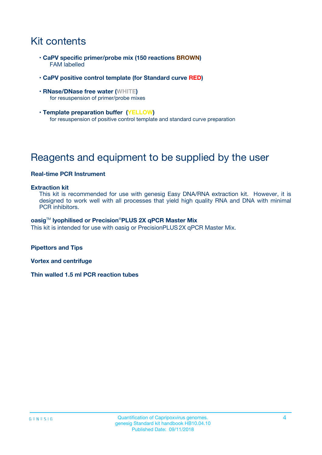# Kit contents

- **CaPV specific primer/probe mix (150 reactions BROWN)** FAM labelled
- **CaPV positive control template (for Standard curve RED)**
- **RNase/DNase free water (WHITE)** for resuspension of primer/probe mixes
- **Template preparation buffer (YELLOW)** for resuspension of positive control template and standard curve preparation

# Reagents and equipment to be supplied by the user

### **Real-time PCR Instrument**

#### **Extraction kit**

This kit is recommended for use with genesig Easy DNA/RNA extraction kit. However, it is designed to work well with all processes that yield high quality RNA and DNA with minimal PCR inhibitors.

#### **oasig**TM **lyophilised or Precision**®**PLUS 2X qPCR Master Mix**

This kit is intended for use with oasig or PrecisionPLUS2X qPCR Master Mix.

**Pipettors and Tips**

**Vortex and centrifuge**

**Thin walled 1.5 ml PCR reaction tubes**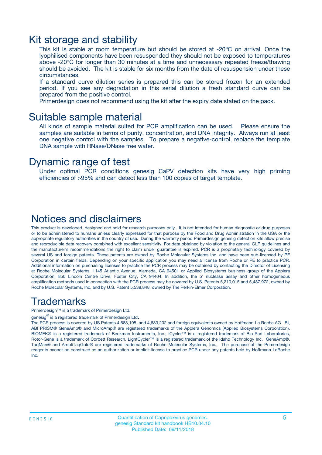### Kit storage and stability

This kit is stable at room temperature but should be stored at -20ºC on arrival. Once the lyophilised components have been resuspended they should not be exposed to temperatures above -20°C for longer than 30 minutes at a time and unnecessary repeated freeze/thawing should be avoided. The kit is stable for six months from the date of resuspension under these circumstances.

If a standard curve dilution series is prepared this can be stored frozen for an extended period. If you see any degradation in this serial dilution a fresh standard curve can be prepared from the positive control.

Primerdesign does not recommend using the kit after the expiry date stated on the pack.

### Suitable sample material

All kinds of sample material suited for PCR amplification can be used. Please ensure the samples are suitable in terms of purity, concentration, and DNA integrity. Always run at least one negative control with the samples. To prepare a negative-control, replace the template DNA sample with RNase/DNase free water.

### Dynamic range of test

Under optimal PCR conditions genesig CaPV detection kits have very high priming efficiencies of >95% and can detect less than 100 copies of target template.

### Notices and disclaimers

This product is developed, designed and sold for research purposes only. It is not intended for human diagnostic or drug purposes or to be administered to humans unless clearly expressed for that purpose by the Food and Drug Administration in the USA or the appropriate regulatory authorities in the country of use. During the warranty period Primerdesign genesig detection kits allow precise and reproducible data recovery combined with excellent sensitivity. For data obtained by violation to the general GLP guidelines and the manufacturer's recommendations the right to claim under guarantee is expired. PCR is a proprietary technology covered by several US and foreign patents. These patents are owned by Roche Molecular Systems Inc. and have been sub-licensed by PE Corporation in certain fields. Depending on your specific application you may need a license from Roche or PE to practice PCR. Additional information on purchasing licenses to practice the PCR process may be obtained by contacting the Director of Licensing at Roche Molecular Systems, 1145 Atlantic Avenue, Alameda, CA 94501 or Applied Biosystems business group of the Applera Corporation, 850 Lincoln Centre Drive, Foster City, CA 94404. In addition, the 5' nuclease assay and other homogeneous amplification methods used in connection with the PCR process may be covered by U.S. Patents 5,210,015 and 5,487,972, owned by Roche Molecular Systems, Inc, and by U.S. Patent 5,538,848, owned by The Perkin-Elmer Corporation.

### Trademarks

Primerdesign™ is a trademark of Primerdesign Ltd.

genesig $^\circledR$  is a registered trademark of Primerdesign Ltd.

The PCR process is covered by US Patents 4,683,195, and 4,683,202 and foreign equivalents owned by Hoffmann-La Roche AG. BI, ABI PRISM® GeneAmp® and MicroAmp® are registered trademarks of the Applera Genomics (Applied Biosystems Corporation). BIOMEK® is a registered trademark of Beckman Instruments, Inc.; iCycler™ is a registered trademark of Bio-Rad Laboratories, Rotor-Gene is a trademark of Corbett Research. LightCycler™ is a registered trademark of the Idaho Technology Inc. GeneAmp®, TaqMan® and AmpliTaqGold® are registered trademarks of Roche Molecular Systems, Inc., The purchase of the Primerdesign reagents cannot be construed as an authorization or implicit license to practice PCR under any patents held by Hoffmann-LaRoche Inc.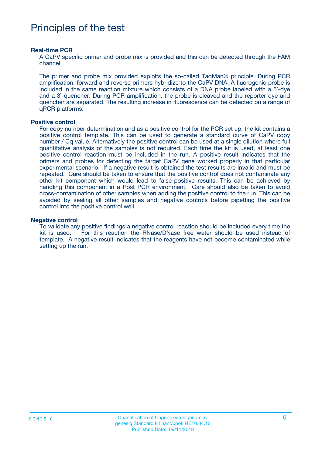# Principles of the test

#### **Real-time PCR**

A CaPV specific primer and probe mix is provided and this can be detected through the FAM channel.

The primer and probe mix provided exploits the so-called TaqMan® principle. During PCR amplification, forward and reverse primers hybridize to the CaPV DNA. A fluorogenic probe is included in the same reaction mixture which consists of a DNA probe labeled with a 5`-dye and a 3`-quencher. During PCR amplification, the probe is cleaved and the reporter dye and quencher are separated. The resulting increase in fluorescence can be detected on a range of qPCR platforms.

#### **Positive control**

For copy number determination and as a positive control for the PCR set up, the kit contains a positive control template. This can be used to generate a standard curve of CaPV copy number / Cq value. Alternatively the positive control can be used at a single dilution where full quantitative analysis of the samples is not required. Each time the kit is used, at least one positive control reaction must be included in the run. A positive result indicates that the primers and probes for detecting the target CaPV gene worked properly in that particular experimental scenario. If a negative result is obtained the test results are invalid and must be repeated. Care should be taken to ensure that the positive control does not contaminate any other kit component which would lead to false-positive results. This can be achieved by handling this component in a Post PCR environment. Care should also be taken to avoid cross-contamination of other samples when adding the positive control to the run. This can be avoided by sealing all other samples and negative controls before pipetting the positive control into the positive control well.

#### **Negative control**

To validate any positive findings a negative control reaction should be included every time the kit is used. For this reaction the RNase/DNase free water should be used instead of template. A negative result indicates that the reagents have not become contaminated while setting up the run.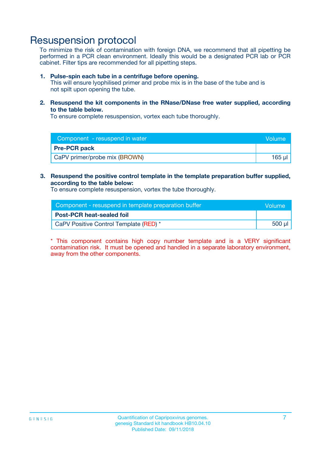### Resuspension protocol

To minimize the risk of contamination with foreign DNA, we recommend that all pipetting be performed in a PCR clean environment. Ideally this would be a designated PCR lab or PCR cabinet. Filter tips are recommended for all pipetting steps.

#### **1. Pulse-spin each tube in a centrifuge before opening.**

This will ensure lyophilised primer and probe mix is in the base of the tube and is not spilt upon opening the tube.

**2. Resuspend the kit components in the RNase/DNase free water supplied, according to the table below.**

To ensure complete resuspension, vortex each tube thoroughly.

| Component - resuspend in water | Volume |
|--------------------------------|--------|
| <b>Pre-PCR pack</b>            |        |
| CaPV primer/probe mix (BROWN)  | 165 µl |

### **3. Resuspend the positive control template in the template preparation buffer supplied, according to the table below:**

To ensure complete resuspension, vortex the tube thoroughly.

| Component - resuspend in template preparation buffer | <b>Nolume</b> |
|------------------------------------------------------|---------------|
| <b>Post-PCR heat-sealed foil</b>                     |               |
| CaPV Positive Control Template (RED) *               | 500 µl        |

\* This component contains high copy number template and is a VERY significant contamination risk. It must be opened and handled in a separate laboratory environment, away from the other components.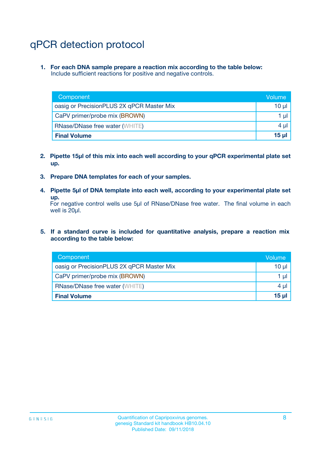# qPCR detection protocol

**1. For each DNA sample prepare a reaction mix according to the table below:** Include sufficient reactions for positive and negative controls.

| Component                                 | Volume          |
|-------------------------------------------|-----------------|
| oasig or PrecisionPLUS 2X qPCR Master Mix | 10 $\mu$        |
| CaPV primer/probe mix (BROWN)             | 1 $\mu$         |
| <b>RNase/DNase free water (WHITE)</b>     | $4 \mu$         |
| <b>Final Volume</b>                       | 15 <sub>µ</sub> |

- **2. Pipette 15µl of this mix into each well according to your qPCR experimental plate set up.**
- **3. Prepare DNA templates for each of your samples.**
- **4. Pipette 5µl of DNA template into each well, according to your experimental plate set up.**

For negative control wells use 5µl of RNase/DNase free water. The final volume in each well is 20µl.

**5. If a standard curve is included for quantitative analysis, prepare a reaction mix according to the table below:**

| Component                                 | Volume     |
|-------------------------------------------|------------|
| oasig or PrecisionPLUS 2X qPCR Master Mix | 10 µl      |
| CaPV primer/probe mix (BROWN)             | 1 µI       |
| <b>RNase/DNase free water (WHITE)</b>     | $4 \mu$    |
| <b>Final Volume</b>                       | $15$ $\mu$ |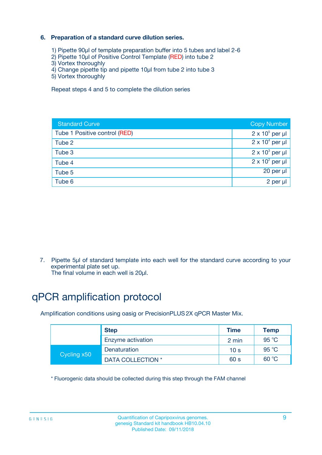### **6. Preparation of a standard curve dilution series.**

- 1) Pipette 90µl of template preparation buffer into 5 tubes and label 2-6
- 2) Pipette 10µl of Positive Control Template (RED) into tube 2
- 3) Vortex thoroughly
- 4) Change pipette tip and pipette 10µl from tube 2 into tube 3
- 5) Vortex thoroughly

Repeat steps 4 and 5 to complete the dilution series

| <b>Standard Curve</b>         | <b>Copy Number</b>     |
|-------------------------------|------------------------|
| Tube 1 Positive control (RED) | $2 \times 10^5$ per µl |
| Tube 2                        | $2 \times 10^4$ per µl |
| Tube 3                        | $2 \times 10^3$ per µl |
| Tube 4                        | $2 \times 10^2$ per µl |
| Tube 5                        | 20 per µl              |
| Tube 6                        | 2 per ul               |

7. Pipette 5µl of standard template into each well for the standard curve according to your experimental plate set up.

The final volume in each well is 20µl.

# qPCR amplification protocol

Amplification conditions using oasig or PrecisionPLUS2X qPCR Master Mix.

| <b>Step</b> |                   | <b>Time</b>     | Temp    |
|-------------|-------------------|-----------------|---------|
|             | Enzyme activation | 2 min           | 95 °C   |
| Cycling x50 | Denaturation      | 10 <sub>s</sub> | 95 $°C$ |
|             | DATA COLLECTION * | 60 s            | 60 °C   |

\* Fluorogenic data should be collected during this step through the FAM channel